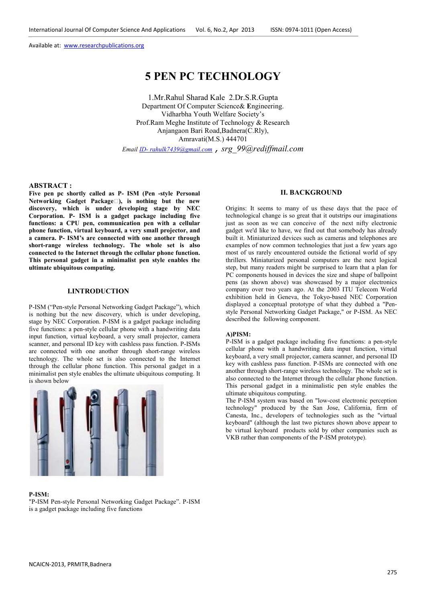# **5 PEN PC TECHNOLOGY**

1.Mr.Rahul Sharad Kale 2.Dr.S.R.Gupta Department Of Computer Science& **E**ngineering. Vidharbha Youth Welfare Society's Prof.Ram Meghe Institute of Technology & Research Anjangaon Bari Road,Badnera(C.Rly), Amravati(M.S.) 444701

*Email ID- rahulk7439@gmail.com , srg\_99@rediffmail.com* 

# **ABSTRACT :**

**Five pen pc shortly called as P- ISM (Pen -style Personal Networking Gadget Package)), is nothing but the new discovery, which is under developing stage by NEC Corporation. P- ISM is a gadget package including five functions: a CPU pen, communication pen with a cellular phone function, virtual keyboard, a very small projector, and a camera. P- ISM's are connected with one another through short-range wireless technology. The whole set is also connected to the Internet through the cellular phone function. This personal gadget in a minimalist pen style enables the ultimate ubiquitous computing.** 

#### **I.INTRODUCTION**

P-ISM ("Pen-style Personal Networking Gadget Package"), which is nothing but the new discovery, which is under developing, stage by NEC Corporation. P-ISM is a gadget package including five functions: a pen-style cellular phone with a handwriting data input function, virtual keyboard, a very small projector, camera scanner, and personal ID key with cashless pass function. P-ISMs are connected with one another through short-range wireless technology. The whole set is also connected to the Internet through the cellular phone function. This personal gadget in a minimalist pen style enables the ultimate ubiquitous computing. It is shown below



#### **P-ISM:**

"P-ISM Pen-style Personal Networking Gadget Package". P-ISM is a gadget package including five functions

## **II. BACKGROUND**

Origins: It seems to many of us these days that the pace of technological change is so great that it outstrips our imaginations just as soon as we can conceive of the next nifty electronic gadget we'd like to have, we find out that somebody has already built it. Miniaturized devices such as cameras and telephones are examples of now common technologies that just a few years ago most of us rarely encountered outside the fictional world of spy thrillers. Miniaturized personal computers are the next logical step, but many readers might be surprised to learn that a plan for PC components housed in devices the size and shape of ballpoint pens (as shown above) was showcased by a major electronics company over two years ago. At the 2003 ITU Telecom World exhibition held in Geneva, the Tokyo-based NEC Corporation displayed a conceptual prototype of what they dubbed a "Penstyle Personal Networking Gadget Package," or P-ISM. As NEC described the following component.

#### **A)PISM:**

P-ISM is a gadget package including five functions: a pen-style cellular phone with a handwriting data input function, virtual keyboard, a very small projector, camera scanner, and personal ID key with cashless pass function. P-ISMs are connected with one another through short-range wireless technology. The whole set is also connected to the Internet through the cellular phone function. This personal gadget in a minimalistic pen style enables the ultimate ubiquitous computing.

The P-ISM system was based on "low-cost electronic perception technology" produced by the San Jose, California, firm of Canesta, Inc., developers of technologies such as the "virtual keyboard" (although the last two pictures shown above appear to be virtual keyboard products sold by other companies such as VKB rather than components of the P-ISM prototype).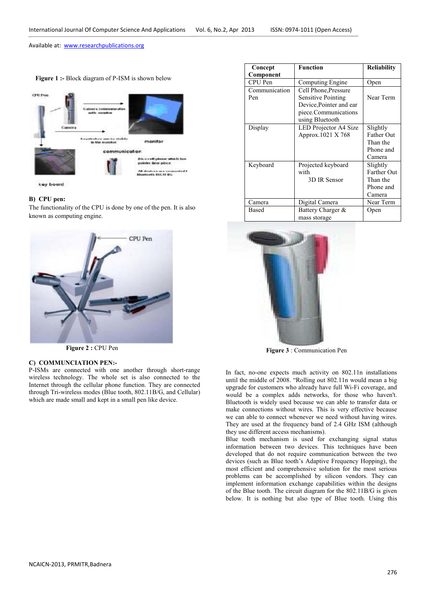**Figure 1 :-** Block diagram of P-ISM is shown below



key board

# **B) CPU pen:**

The functionality of the CPU is done by one of the pen. It is also known as computing engine.



 **Figure 2 :** CPU Pen

### **C) COMMUNCIATION PEN:-**

P-ISMs are connected with one another through short-range wireless technology. The whole set is also connected to the Internet through the cellular phone function. They are connected through Tri-wireless modes (Blue tooth, 802.11B/G, and Cellular) which are made small and kept in a small pen like device.

| Concept       | <b>Function</b>           | <b>Reliability</b> |
|---------------|---------------------------|--------------------|
| Component     |                           |                    |
| CPU Pen       | Computing Engine          | Open               |
| Communication | Cell Phone, Pressure      |                    |
| Pen           | <b>Sensitive Pointing</b> | Near Term          |
|               | Device, Pointer and ear   |                    |
|               | piece.Communications      |                    |
|               | using Bluetooth           |                    |
| Display       | LED Projector A4 Size     | Slightly           |
|               | Approx.1021 X 768         | <b>Father Out</b>  |
|               |                           | Than the           |
|               |                           | Phone and          |
|               |                           | Camera             |
| Keyboard      | Projected keyboard        | Slightly           |
|               | with                      | <b>Farther Out</b> |
|               | 3D IR Sensor              | Than the           |
|               |                           | Phone and          |
|               |                           | Camera             |
| Camera        | Digital Camera            | Near Term          |
| Based         | Battery Charger &         | Open               |
|               | mass storage              |                    |



 **Figure 3** : Communication Pen

In fact, no-one expects much activity on 802.11n installations until the middle of 2008. "Rolling out 802.11n would mean a big upgrade for customers who already have full Wi-Fi coverage, and would be a complex adds networks, for those who haven't. Bluetooth is widely used because we can able to transfer data or make connections without wires. This is very effective because we can able to connect whenever we need without having wires. They are used at the frequency band of 2.4 GHz ISM (although they use different access mechanisms).

Blue tooth mechanism is used for exchanging signal status information between two devices. This techniques have been developed that do not require communication between the two devices (such as Blue tooth's Adaptive Frequency Hopping), the most efficient and comprehensive solution for the most serious problems can be accomplished by silicon vendors. They can implement information exchange capabilities within the designs of the Blue tooth. The circuit diagram for the 802.11B/G is given below. It is nothing but also type of Blue tooth. Using this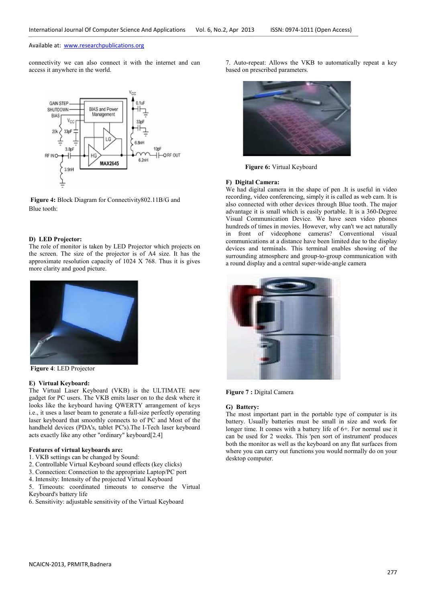connectivity we can also connect it with the internet and can access it anywhere in the world.



**Figure 4:** Block Diagram for Connectivity802.11B/G and Blue tooth:

#### **D) LED Projector:**

The role of monitor is taken by LED Projector which projects on the screen. The size of the projector is of A4 size. It has the approximate resolution capacity of 1024 X 768. Thus it is gives more clarity and good picture.



 **Figure 4**: LED Projector

#### **E) Virtual Keyboard:**

The Virtual Laser Keyboard (VKB) is the ULTIMATE new gadget for PC users. The VKB emits laser on to the desk where it looks like the keyboard having QWERTY arrangement of keys i.e., it uses a laser beam to generate a full-size perfectly operating laser keyboard that smoothly connects to of PC and Most of the handheld devices (PDA's, tablet PC's).The I-Tech laser keyboard acts exactly like any other "ordinary" keyboard[2.4]

## **Features of virtual keyboards are:**

- 1. VKB settings can be changed by Sound:
- 2. Controllable Virtual Keyboard sound effects (key clicks)
- 3. Connection: Connection to the appropriate Laptop/PC port
- 4. Intensity: Intensity of the projected Virtual Keyboard
- 5. Timeouts: coordinated timeouts to conserve the Virtual Keyboard's battery life
- 6. Sensitivity: adjustable sensitivity of the Virtual Keyboard

7. Auto-repeat: Allows the VKB to automatically repeat a key based on prescribed parameters.



 **Figure 6:** Virtual Keyboard

#### **F) Digital Camera:**

We had digital camera in the shape of pen .It is useful in video recording, video conferencing, simply it is called as web cam. It is also connected with other devices through Blue tooth. The major advantage it is small which is easily portable. It is a 360-Degree Visual Communication Device. We have seen video phones hundreds of times in movies. However, why can't we act naturally in front of videophone cameras? Conventional visual communications at a distance have been limited due to the display devices and terminals. This terminal enables showing of the surrounding atmosphere and group-to-group communication with a round display and a central super-wide-angle camera



**Figure 7 :** Digital Camera

#### **G) Battery:**

The most important part in the portable type of computer is its battery. Usually batteries must be small in size and work for longer time. It comes with a battery life of 6+. For normal use it can be used for 2 weeks. This 'pen sort of instrument' produces both the monitor as well as the keyboard on any flat surfaces from where you can carry out functions you would normally do on your desktop computer.